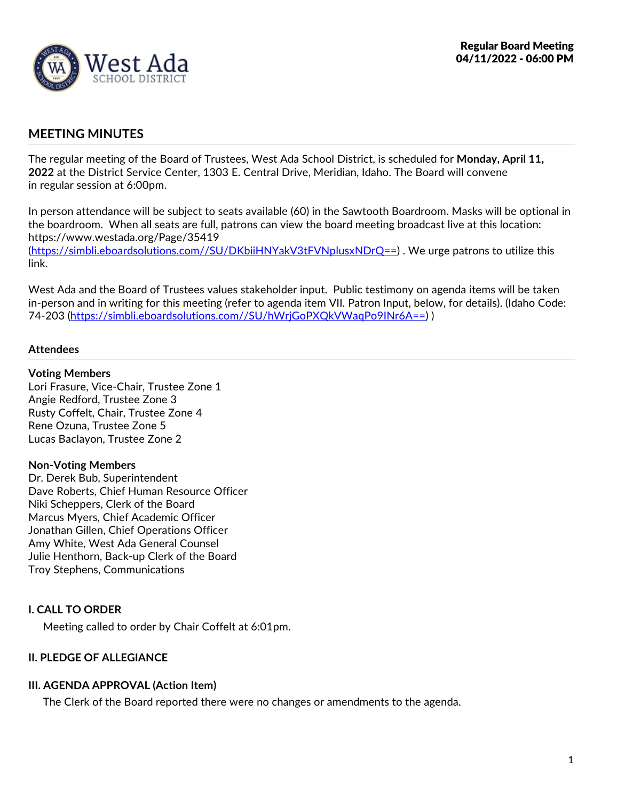

# **MEETING MINUTES**

The regular meeting of the Board of Trustees, West Ada School District, is scheduled for Monday, April 11, 2022 at the District Service Center, 1303 E. Central Drive, Meridian, Idaho. The Board will convene in regular session at 6:00pm.

In person attendance will be subject to seats available (60) in the Sawtooth Boardroom. Masks will be optional in the boardroom. When all seats are full, patrons can view the board meeting broadcast live at this location: https://www.westada.org/Page/35419 (https://simbli.eboardsolutions.com//SU/DKbiiHNYakV3tFVNplusxNDrQ==) . We urge patrons to utilize this link.

West Ada and the Board of Trustees values stakeholder input. Public testimony on agenda items will be taken in-person and in writing for this meeting (refer to agenda item VII. Patron Input, below, for details). (Idaho Code: 74-203 (https://simbli.eboardsolutions.com//SU/hWrjGoPXQkVWaqPo9INr6A==) )

## **Attendees**

#### **Voting Members**

Lori Frasure, Vice-Chair, Trustee Zone 1 Angie Redford, Trustee Zone 3 Rusty Coffelt, Chair, Trustee Zone 4 Rene Ozuna, Trustee Zone 5 Lucas Baclayon, Trustee Zone 2

#### **Non-Voting Members**

Dr. Derek Bub, Superintendent Dave Roberts, Chief Human Resource Officer Niki Scheppers, Clerk of the Board Marcus Myers, Chief Academic Officer Jonathan Gillen, Chief Operations Officer Amy White, West Ada General Counsel Julie Henthorn, Back-up Clerk of the Board Troy Stephens, Communications

# **I. CALL TO ORDER**

Meeting called to order by Chair Coffelt at 6:01pm.

## **II. PLEDGE OF ALLEGIANCE**

# **III. AGENDA APPROVAL (Action Item)**

The Clerk of the Board reported there were no changes or amendments to the agenda.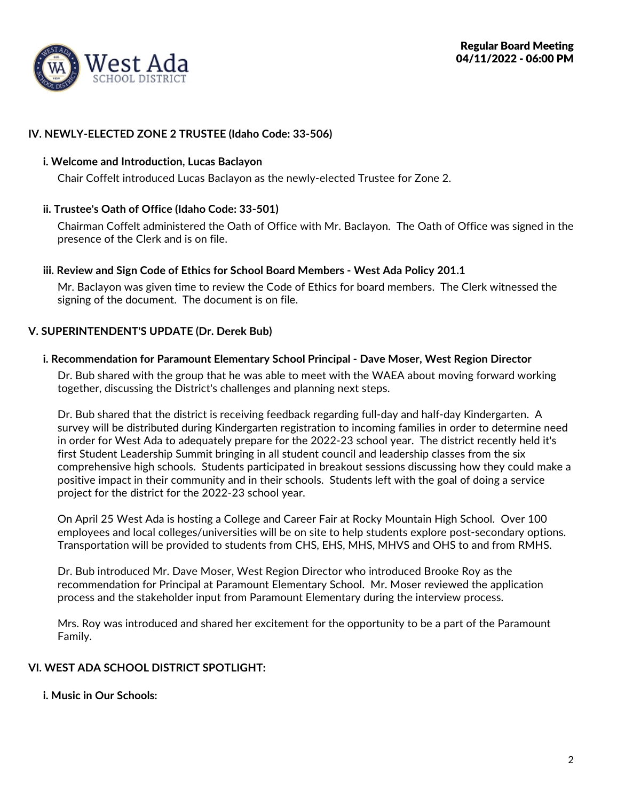

## **IV. NEWLY-ELECTED ZONE 2 TRUSTEE (Idaho Code: 33-506)**

## **i. Welcome and Introduction, Lucas Baclayon**

Chair Coffelt introduced Lucas Baclayon as the newly-elected Trustee for Zone 2.

## **ii. Trustee's Oath of Office (Idaho Code: 33-501)**

Chairman Coffelt administered the Oath of Office with Mr. Baclayon. The Oath of Office was signed in the presence of the Clerk and is on file.

## **iii. Review and Sign Code of Ethics for School Board Members - West Ada Policy 201.1**

Mr. Baclayon was given time to review the Code of Ethics for board members. The Clerk witnessed the signing of the document. The document is on file.

## **V. SUPERINTENDENT'S UPDATE (Dr. Derek Bub)**

## **i. Recommendation for Paramount Elementary School Principal - Dave Moser, West Region Director**

Dr. Bub shared with the group that he was able to meet with the WAEA about moving forward working together, discussing the District's challenges and planning next steps.

Dr. Bub shared that the district is receiving feedback regarding full-day and half-day Kindergarten. A survey will be distributed during Kindergarten registration to incoming families in order to determine need in order for West Ada to adequately prepare for the 2022-23 school year. The district recently held it's first Student Leadership Summit bringing in all student council and leadership classes from the six comprehensive high schools. Students participated in breakout sessions discussing how they could make a positive impact in their community and in their schools. Students left with the goal of doing a service project for the district for the 2022-23 school year.

On April 25 West Ada is hosting a College and Career Fair at Rocky Mountain High School. Over 100 employees and local colleges/universities will be on site to help students explore post-secondary options. Transportation will be provided to students from CHS, EHS, MHS, MHVS and OHS to and from RMHS.

Dr. Bub introduced Mr. Dave Moser, West Region Director who introduced Brooke Roy as the recommendation for Principal at Paramount Elementary School. Mr. Moser reviewed the application process and the stakeholder input from Paramount Elementary during the interview process.

Mrs. Roy was introduced and shared her excitement for the opportunity to be a part of the Paramount Family.

## **VI. WEST ADA SCHOOL DISTRICT SPOTLIGHT:**

**i. Music in Our Schools:**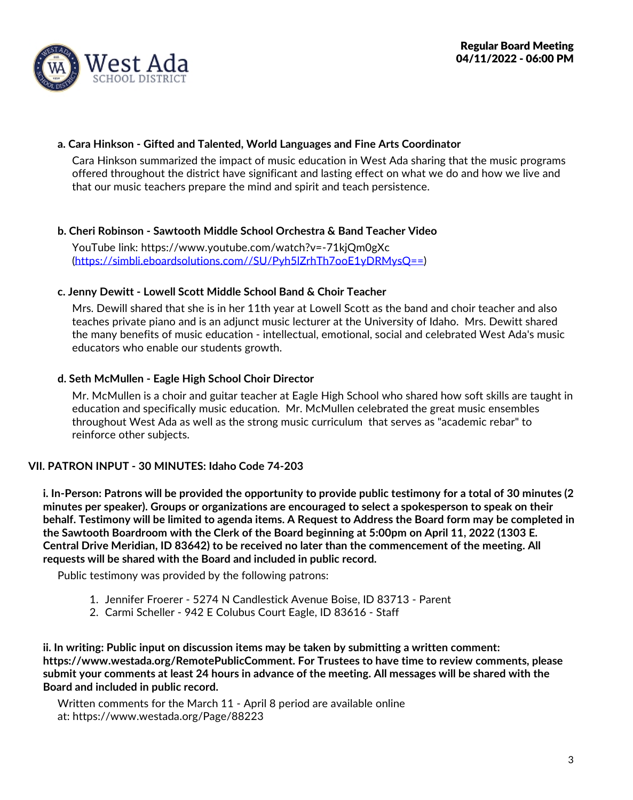

## **a. Cara Hinkson - Gifted and Talented, World Languages and Fine Arts Coordinator**

Cara Hinkson summarized the impact of music education in West Ada sharing that the music programs offered throughout the district have significant and lasting effect on what we do and how we live and that our music teachers prepare the mind and spirit and teach persistence.

## **b. Cheri Robinson - Sawtooth Middle School Orchestra & Band Teacher Video**

YouTube link: https://www.youtube.com/watch?v=-71kjQm0gXc (https://simbli.eboardsolutions.com//SU/Pyh5lZrhTh7ooE1yDRMysQ==)

## **c. Jenny Dewitt - Lowell Scott Middle School Band & Choir Teacher**

Mrs. Dewill shared that she is in her 11th year at Lowell Scott as the band and choir teacher and also teaches private piano and is an adjunct music lecturer at the University of Idaho. Mrs. Dewitt shared the many benefits of music education - intellectual, emotional, social and celebrated West Ada's music educators who enable our students growth.

## **d. Seth McMullen - Eagle High School Choir Director**

Mr. McMullen is a choir and guitar teacher at Eagle High School who shared how soft skills are taught in education and specifically music education. Mr. McMullen celebrated the great music ensembles throughout West Ada as well as the strong music curriculum that serves as "academic rebar" to reinforce other subjects.

## **VII. PATRON INPUT - 30 MINUTES: Idaho Code 74-203**

i. In-Person: Patrons will be provided the opportunity to provide public testimony for a total of 30 minutes (2 **minutes per speaker). Groups or organizations are encouraged to select a spokesperson to speak on their** behalf. Testimony will be limited to agenda items. A Request to Address the Board form may be completed in the Sawtooth Boardroom with the Clerk of the Board beginning at 5:00pm on April 11, 2022 (1303 E.<br>Central Drive Meridian, ID 83642) to be received no later than the commencement of the meeting. All **requests will be shared with the Board and included in public record.**

Public testimony was provided by the following patrons:

- 1. Jennifer Froerer 5274 N Candlestick Avenue Boise, ID 83713 Parent
- 2. Carmi Scheller 942 E Colubus Court Eagle, ID 83616 Staff

**ii. In writing: Public input on discussion items may be taken by submitting a written comment: https://www.westada.org/RemotePublicComment. For Trustees to have time to review comments, please** submit your comments at least 24 hours in advance of the meeting. All messages will be shared with the **Board and included in public record.**

Written comments for the March 11 - April 8 period are available online at: https://www.westada.org/Page/88223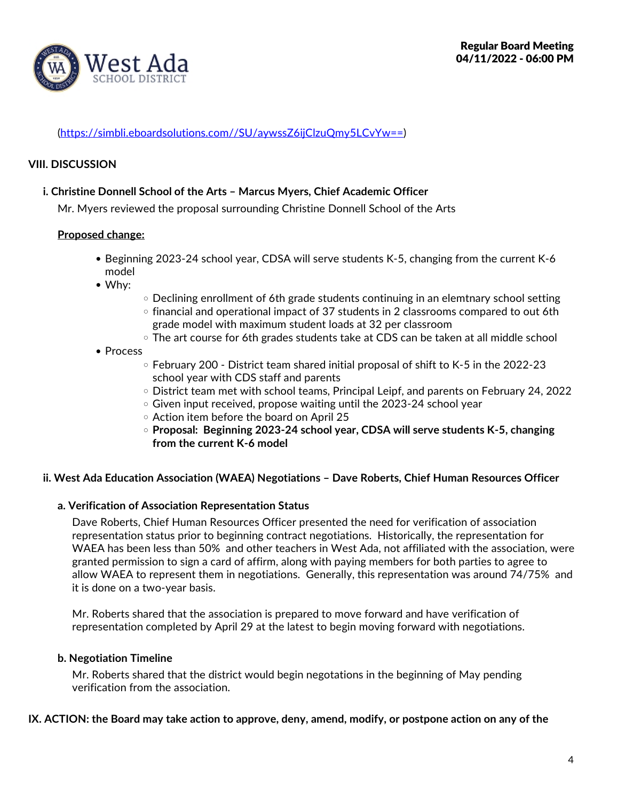

## (https://simbli.eboardsolutions.com//SU/aywssZ6ijClzuQmy5LCvYw==)

### **VIII. DISCUSSION**

#### **i. Christine Donnell School of the Arts – Marcus Myers, Chief Academic Officer**

Mr. Myers reviewed the proposal surrounding Christine Donnell School of the Arts

#### **Proposed change:**

- Beginning 2023-24 school year, CDSA willserve students K-5, changing from the current K-6 model
- Why:
- $\circ$  Declining enrollment of 6th grade students continuing in an elemtnary school setting
- $\circ$  financial and operational impact of 37 students in 2 classrooms compared to out 6th grade model with maximum student loads at 32 per classroom
- The art course for 6th grades students take at CDS can be taken at all middle school
- Process
	- $\circ$  February 200 District team shared initial proposal of shift to K-5 in the 2022-23 school year with CDS staff and parents
	- District team met with school teams, Principal Leipf, and parents on February 24, 2022
	- o Given input received, propose waiting until the 2023-24 school year
	- $\circ$  Action item before the board on April 25
	- **Proposal: Beginning 2023-24 school year, CDSA willserve students K-5, changing from the current K-6 model**

#### **ii. West Ada Education Association (WAEA) Negotiations – Dave Roberts, Chief Human Resources Officer**

#### **a. Verification of Association Representation Status**

Dave Roberts, Chief Human Resources Officer presented the need for verification of association representation status prior to beginning contract negotiations. Historically, the representation for WAEA has been less than 50% and other teachers in West Ada, not affiliated with the association, were granted permission to sign a card of affirm, along with paying members for both parties to agree to allow WAEA to represent them in negotiations. Generally, this representation was around 74/75% and it is done on a two-year basis.

Mr. Roberts shared that the association is prepared to move forward and have verification of representation completed by April 29 at the latest to begin moving forward with negotiations.

#### **b. Negotiation Timeline**

Mr. Roberts shared that the district would begin negotations in the beginning of May pending verification from the association.

#### IX. ACTION: the Board may take action to approve, deny, amend, modify, or postpone action on any of the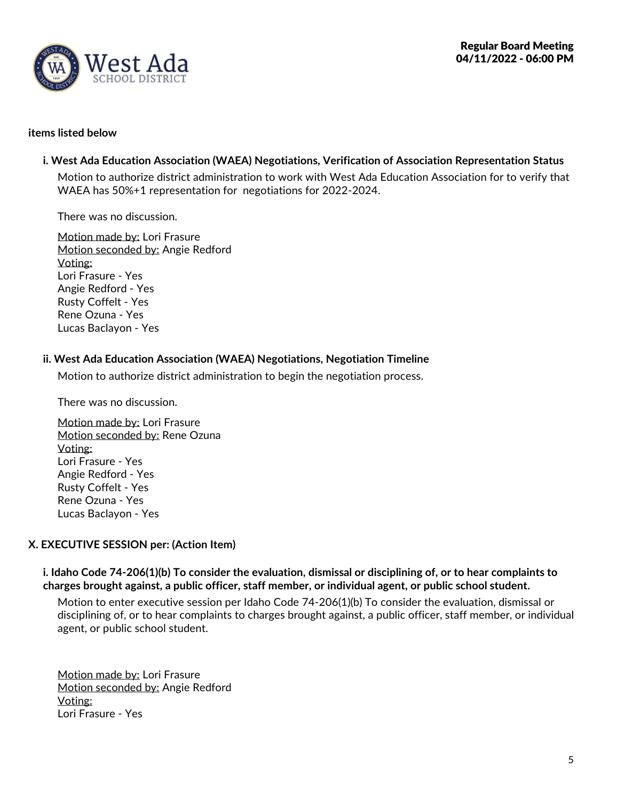

### **items listed below**

## **i. West Ada Education Association (WAEA) Negotiations, Verification of Association Representation Status**

Motion to authorize district administration to work with West Ada Education Association for to verify that WAEA has 50%+1 representation for negotiations for 2022-2024.

There was no discussion.

Motion made by: Lori Frasure Motion seconded by: Angie Redford Voting: Lori Frasure - Yes Angie Redford - Yes Rusty Coffelt - Yes Rene Ozuna - Yes Lucas Baclayon - Yes

## **ii. West Ada Education Association (WAEA) Negotiations, Negotiation Timeline**

Motion to authorize district administration to begin the negotiation process.

There was no discussion.

Motion made by: Lori Frasure Motion seconded by: Rene Ozuna Voting: Lori Frasure - Yes Angie Redford - Yes Rusty Coffelt - Yes Rene Ozuna - Yes Lucas Baclayon - Yes

## **X. EXECUTIVE SESSION per: (Action Item)**

i. Idaho Code 74-206(1)(b) To consider the evaluation, dismissal or disciplining of, or to hear complaints to **charges brought against, a public officer, staff member, or individual agent, or public school student.**

Motion to enter executive session per Idaho Code 74-206(1)(b) To consider the evaluation, dismissal or disciplining of, or to hear complaints to charges brought against, a public officer, staff member, or individual agent, or public school student.

Motion made by: Lori Frasure Motion seconded by: Angie Redford Voting: Lori Frasure -Yes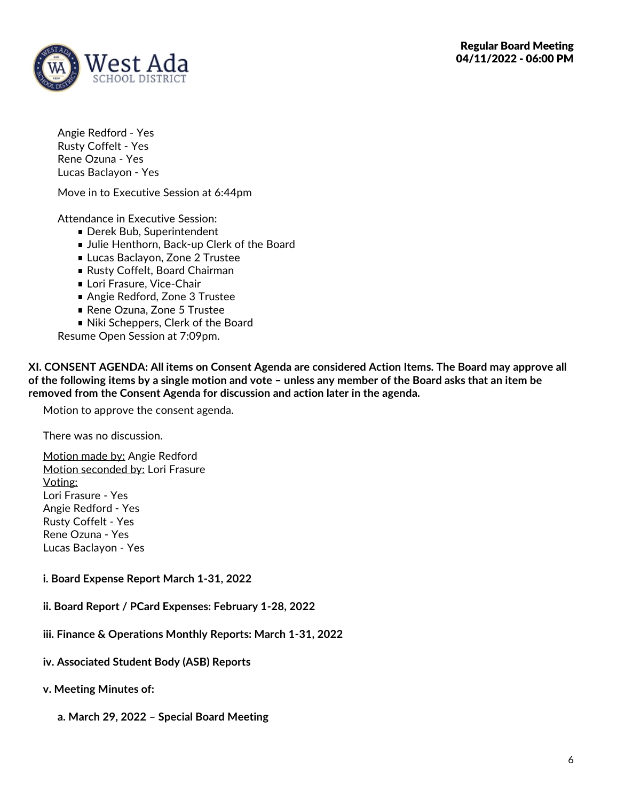

Angie Redford - Yes Rusty Coffelt - Yes Rene Ozuna - Yes Lucas Baclayon - Yes

Move in to Executive Session at 6:44pm

Attendance in Executive Session:

- Derek Bub, Superintendent
- **Julie Henthorn, Back-up Clerk of the Board**
- **Lucas Baclayon, Zone 2 Trustee**
- Rusty Coffelt, Board Chairman
- **Lori Frasure, Vice-Chair**
- Angie Redford, Zone 3 Trustee
- Rene Ozuna, Zone 5 Trustee
- Niki Scheppers, Clerk of the Board

Resume Open Session at 7:09pm.

**XI. CONSENT AGENDA: All items on Consent Agenda are considered Action Items. The Board may approve all** of the following items by a single motion and vote - unless any member of the Board asks that an item be **removed from the Consent Agenda for discussion and action later in the agenda.**

Motion to approve the consent agenda.

There was no discussion.

Motion made by: Angie Redford Motion seconded by: Lori Frasure Voting: Lori Frasure -Yes Angie Redford - Yes Rusty Coffelt - Yes Rene Ozuna - Yes Lucas Baclayon - Yes

- **i. Board Expense Report March 1-31, 2022**
- **ii. Board Report / PCard Expenses: February 1-28, 2022**
- **iii. Finance & Operations Monthly Reports: March 1-31, 2022**
- **iv. Associated Student Body (ASB) Reports**
- **v. Meeting Minutes of:**
	- **a. March 29, 2022 – Special Board Meeting**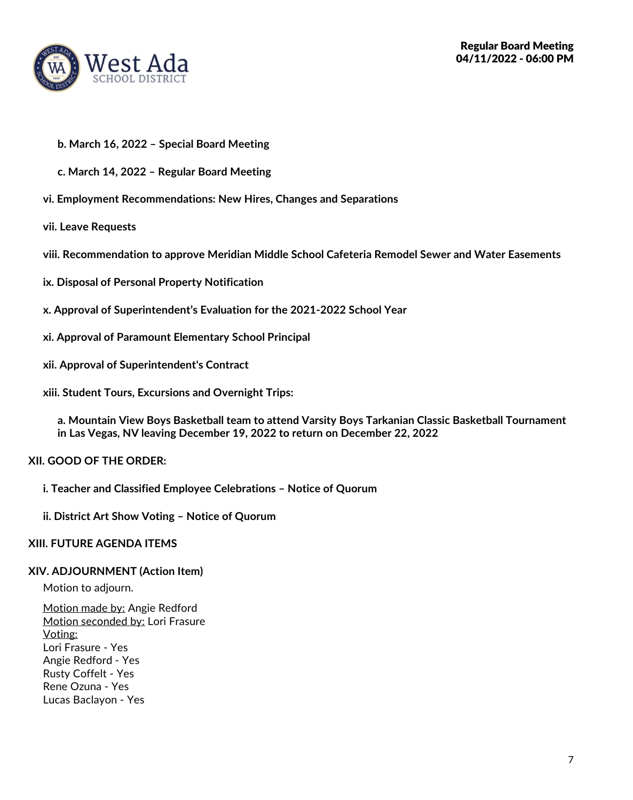

- **b. March 16, 2022 – Special Board Meeting**
- **c. March 14, 2022 – Regular Board Meeting**
- **vi. Employment Recommendations: New Hires, Changes and Separations**
- **vii. Leave Requests**
- **viii. Recommendation to approve Meridian Middle School Cafeteria Remodel Sewer and Water Easements**
- **ix. Disposal of Personal Property Notification**
- **x. Approval of Superintendent's Evaluation for the 2021-2022 School Year**
- **xi. Approval of Paramount Elementary School Principal**
- **xii. Approval of Superintendent's Contract**
- **xiii. Student Tours, Excursions and Overnight Trips:**

**a. Mountain View Boys Basketball team to attend Varsity Boys Tarkanian Classic Basketball Tournament in Las Vegas, NV leaving December 19, 2022 to return on December 22, 2022**

## **XII. GOOD OF THE ORDER:**

- **i. Teacher and Classified Employee Celebrations – Notice of Quorum**
- **ii. District Art Show Voting – Notice of Quorum**

#### **XIII. FUTURE AGENDA ITEMS**

#### **XIV. ADJOURNMENT (Action Item)**

Motion to adjourn.

Motion made by: Angie Redford Motion seconded by: Lori Frasure Voting: Lori Frasure - Yes Angie Redford - Yes Rusty Coffelt - Yes Rene Ozuna - Yes Lucas Baclayon - Yes